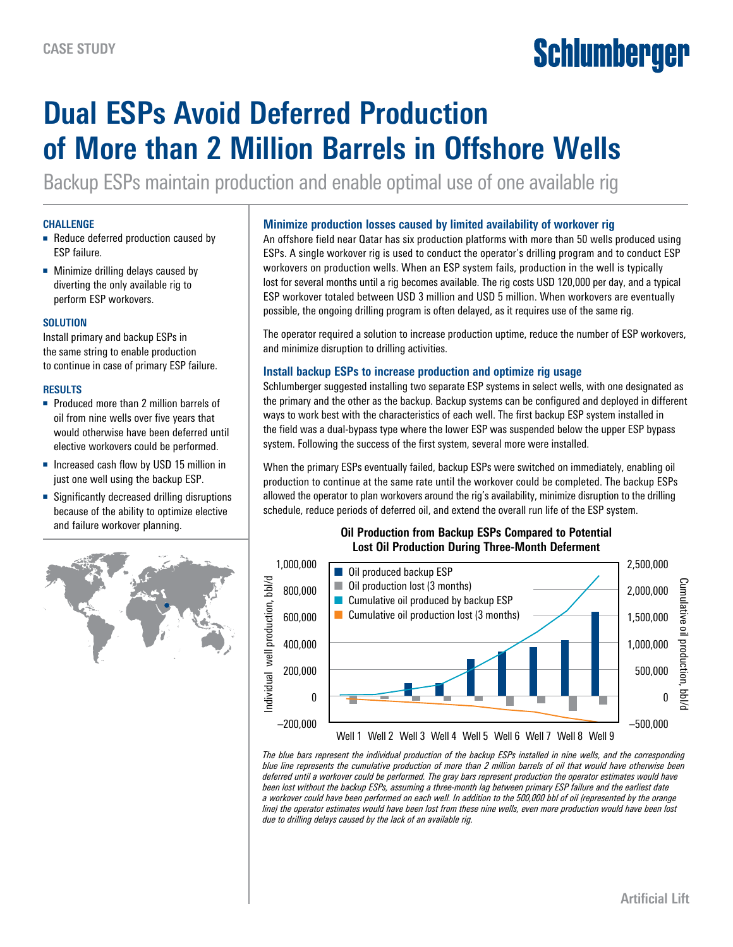# Schlumberger

# **Dual ESPs Avoid Deferred Production of More than 2 Million Barrels in Offshore Wells**

Backup ESPs maintain production and enable optimal use of one available rig

#### **CHALLENGE**

- Reduce deferred production caused by ESP failure.
- Minimize drilling delays caused by diverting the only available rig to perform ESP workovers.

## **SOLUTION**

Install primary and backup ESPs in the same string to enable production to continue in case of primary ESP failure.

#### **RESULTS**

- Produced more than 2 million barrels of oil from nine wells over five years that would otherwise have been deferred until elective workovers could be performed.
- Increased cash flow by USD 15 million in just one well using the backup ESP.
- Significantly decreased drilling disruptions because of the ability to optimize elective and failure workover planning.



#### **Minimize production losses caused by limited availability of workover rig**

An offshore field near Qatar has six production platforms with more than 50 wells produced using ESPs. A single workover rig is used to conduct the operator's drilling program and to conduct ESP workovers on production wells. When an ESP system fails, production in the well is typically lost for several months until a rig becomes available. The rig costs USD 120,000 per day, and a typical ESP workover totaled between USD 3 million and USD 5 million. When workovers are eventually possible, the ongoing drilling program is often delayed, as it requires use of the same rig.

The operator required a solution to increase production uptime, reduce the number of ESP workovers, and minimize disruption to drilling activities.

## **Install backup ESPs to increase production and optimize rig usage**

Schlumberger suggested installing two separate ESP systems in select wells, with one designated as the primary and the other as the backup. Backup systems can be configured and deployed in different ways to work best with the characteristics of each well. The first backup ESP system installed in the field was a dual-bypass type where the lower ESP was suspended below the upper ESP bypass system. Following the success of the first system, several more were installed.

When the primary ESPs eventually failed, backup ESPs were switched on immediately, enabling oil production to continue at the same rate until the workover could be completed. The backup ESPs allowed the operator to plan workovers around the rig's availability, minimize disruption to the drilling schedule, reduce periods of deferred oil, and extend the overall run life of the ESP system.

#### **Oil Production from Backup ESPs Compared to Potential Lost Oil Production During Three-Month Deferment**



*The blue bars represent the individual production of the backup ESPs installed in nine wells, and the corresponding blue line represents the cumulative production of more than 2 million barrels of oil that would have otherwise been deferred until a workover could be performed. The gray bars represent production the operator estimates would have been lost without the backup ESPs, assuming a three-month lag between primary ESP failure and the earliest date a workover could have been performed on each well. In addition to the 500,000 bbl of oil (represented by the orange line)* the operator estimates would have been lost from these nine wells, even more production would have been lost *due to drilling delays caused by the lack of an available rig.*